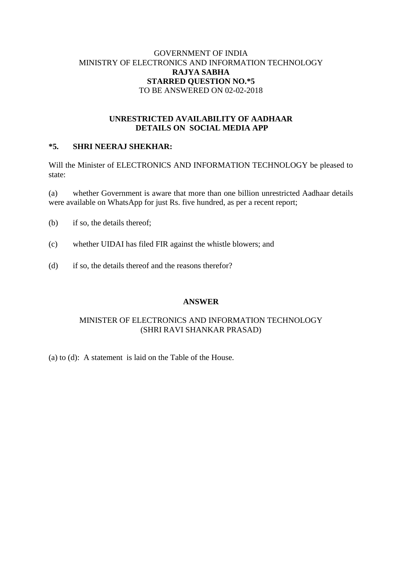# GOVERNMENT OF INDIA MINISTRY OF ELECTRONICS AND INFORMATION TECHNOLOGY **RAJYA SABHA STARRED QUESTION NO.\*5** TO BE ANSWERED ON 02-02-2018

### **UNRESTRICTED AVAILABILITY OF AADHAAR DETAILS ON SOCIAL MEDIA APP**

# **\*5. SHRI NEERAJ SHEKHAR:**

Will the Minister of ELECTRONICS AND INFORMATION TECHNOLOGY be pleased to state:

(a) whether Government is aware that more than one billion unrestricted Aadhaar details were available on WhatsApp for just Rs. five hundred, as per a recent report;

- (b) if so, the details thereof;
- (c) whether UIDAI has filed FIR against the whistle blowers; and
- (d) if so, the details thereof and the reasons therefor?

#### **ANSWER**

# MINISTER OF ELECTRONICS AND INFORMATION TECHNOLOGY (SHRI RAVI SHANKAR PRASAD)

(a) to (d): A statement is laid on the Table of the House.